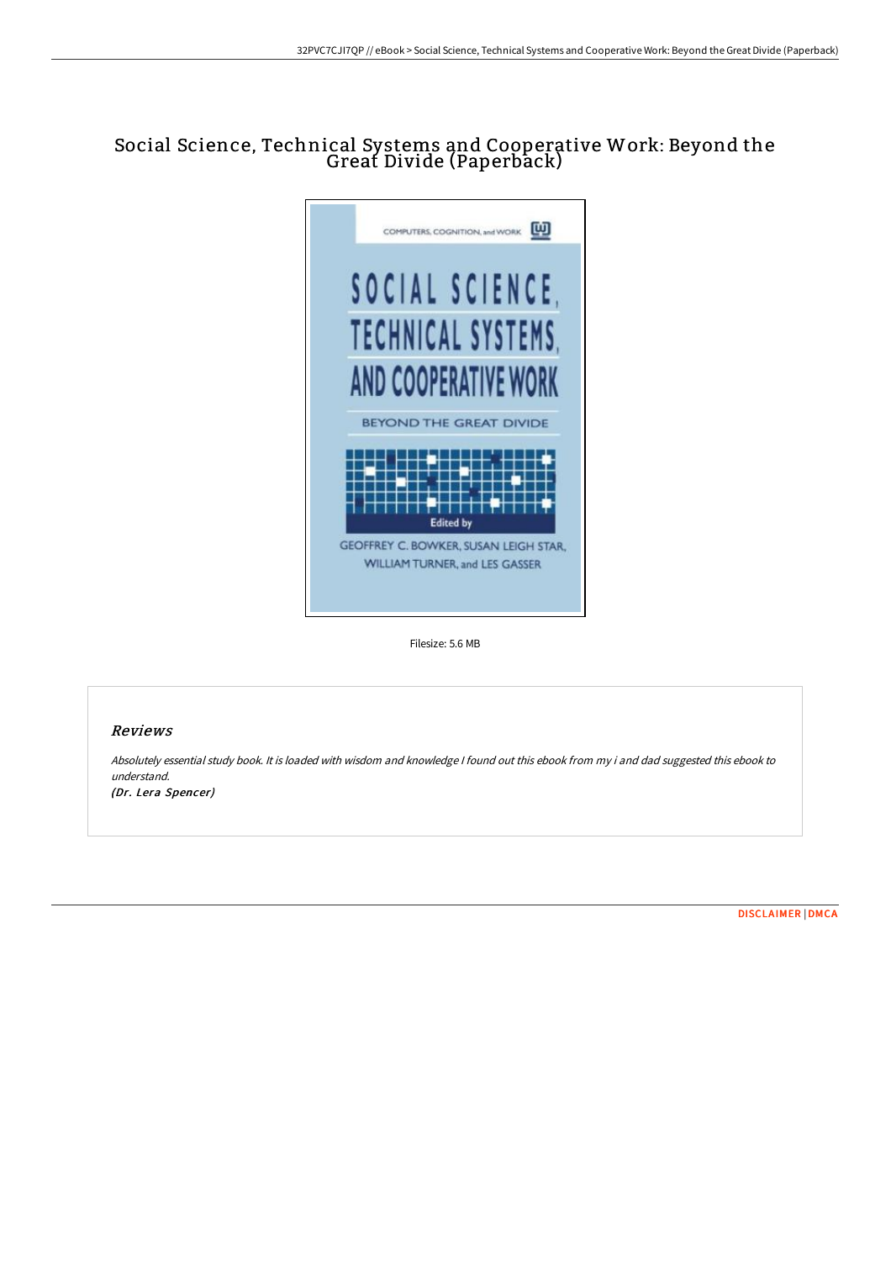## Social Science, Technical Systems and Cooperative Work: Beyond the Great Divide (Paperback)



Filesize: 5.6 MB

## Reviews

Absolutely essential study book. It is loaded with wisdom and knowledge <sup>I</sup> found out this ebook from my i and dad suggested this ebook to understand.

(Dr. Lera Spencer)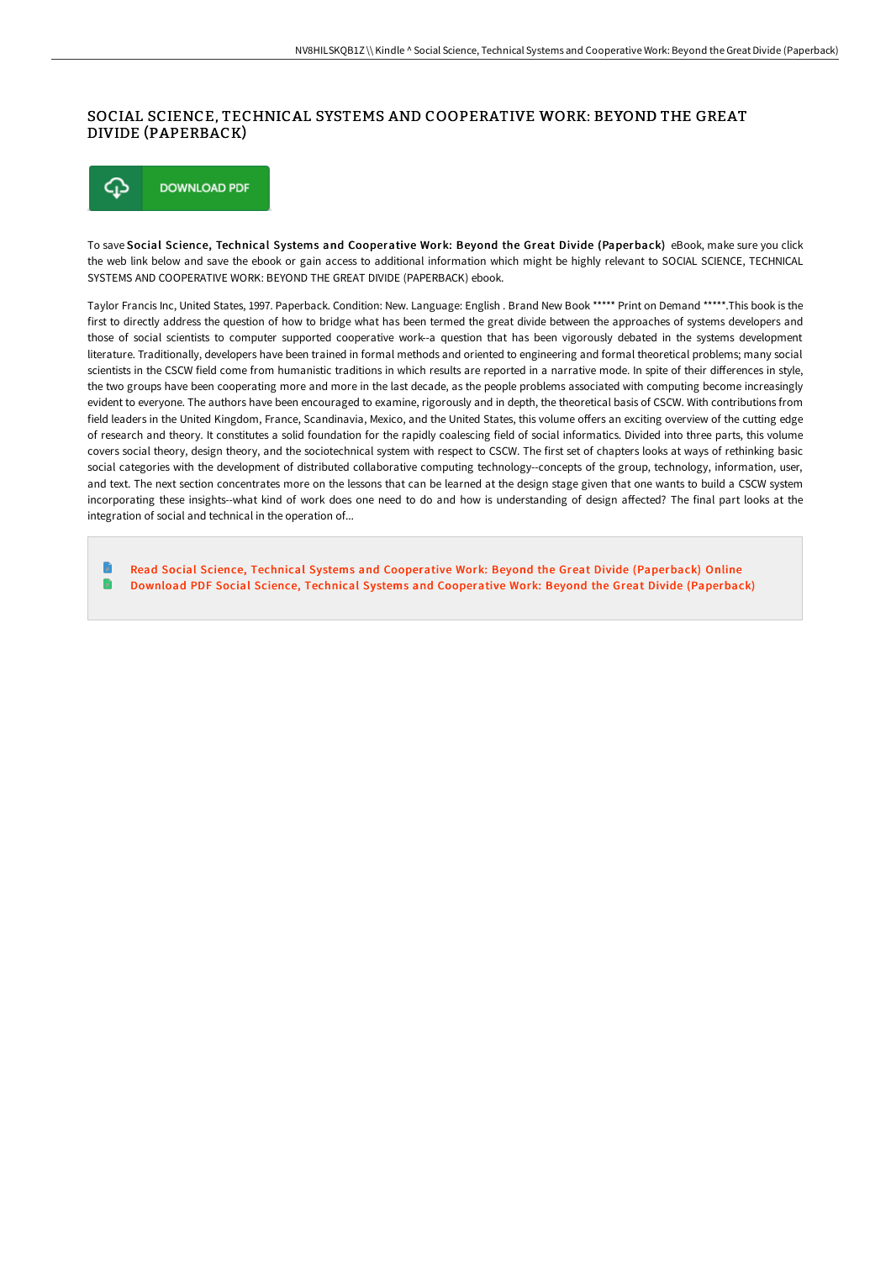## SOCIAL SCIENCE, TECHNICAL SYSTEMS AND COOPERATIVE WORK: BEYOND THE GREAT DIVIDE (PAPERBACK)

⊕ **DOWNLOAD PDF** 

To save Social Science, Technical Systems and Cooperative Work: Beyond the Great Divide (Paperback) eBook, make sure you click the web link below and save the ebook or gain access to additional information which might be highly relevant to SOCIAL SCIENCE, TECHNICAL SYSTEMS AND COOPERATIVE WORK: BEYOND THE GREAT DIVIDE (PAPERBACK) ebook.

Taylor Francis Inc, United States, 1997. Paperback. Condition: New. Language: English . Brand New Book \*\*\*\*\* Print on Demand \*\*\*\*\*.This book is the first to directly address the question of how to bridge what has been termed the great divide between the approaches of systems developers and those of social scientists to computer supported cooperative work--a question that has been vigorously debated in the systems development literature. Traditionally, developers have been trained in formal methods and oriented to engineering and formal theoretical problems; many social scientists in the CSCW field come from humanistic traditions in which results are reported in a narrative mode. In spite of their differences in style, the two groups have been cooperating more and more in the last decade, as the people problems associated with computing become increasingly evident to everyone. The authors have been encouraged to examine, rigorously and in depth, the theoretical basis of CSCW. With contributions from field leaders in the United Kingdom, France, Scandinavia, Mexico, and the United States, this volume offers an exciting overview of the cutting edge of research and theory. It constitutes a solid foundation for the rapidly coalescing field of social informatics. Divided into three parts, this volume covers social theory, design theory, and the sociotechnical system with respect to CSCW. The first set of chapters looks at ways of rethinking basic social categories with the development of distributed collaborative computing technology--concepts of the group, technology, information, user, and text. The next section concentrates more on the lessons that can be learned at the design stage given that one wants to build a CSCW system incorporating these insights--what kind of work does one need to do and how is understanding of design affected? The final part looks at the integration of social and technical in the operation of...

Read Social Science, Technical Systems and Cooperative Work: Beyond the Great Divide [\(Paperback\)](http://techno-pub.tech/social-science-technical-systems-and-cooperative-1.html) Online Download PDF Social Science, Technical Systems and Cooperative Work: Beyond the Great Divide [\(Paperback\)](http://techno-pub.tech/social-science-technical-systems-and-cooperative-1.html)